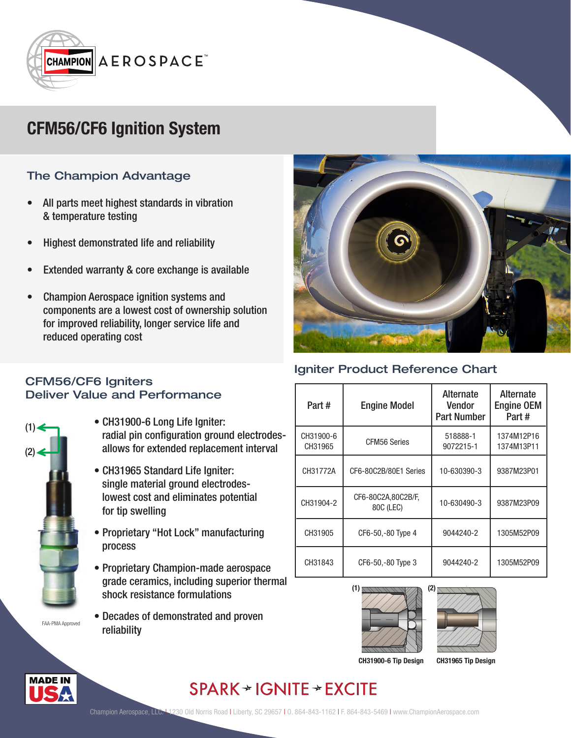

# **CFM56/CF6 Ignition System**

### The Champion Advantage

- All parts meet highest standards in vibration & temperature testing
- Highest demonstrated life and reliability
- Extended warranty & core exchange is available
- Champion Aerospace ignition systems and components are a lowest cost of ownership solution for improved reliability, longer service life and reduced operating cost



#### Igniter Product Reference Chart

| Part#                | <b>Engine Model</b>             | <b>Alternate</b><br><b>Vendor</b><br><b>Part Number</b> | Alternate<br><b>Engine OEM</b><br>Part# |
|----------------------|---------------------------------|---------------------------------------------------------|-----------------------------------------|
| CH31900-6<br>CH31965 | <b>CFM56 Series</b>             | 518888-1<br>9072215-1                                   | 1374M12P16<br>1374M13P11                |
| CH31772A             | CF6-80C2B/80E1 Series           | 10-630390-3                                             | 9387M23P01                              |
| CH31904-2            | CF6-80C2A,80C2B/F,<br>80C (LEC) | 10-630490-3                                             | 9387M23P09                              |
| CH31905              | CF6-50,-80 Type 4               | 9044240-2                                               | 1305M52P09                              |
| CH31843              | CF6-50,-80 Type 3               | 9044240-2                                               | 1305M52P09                              |





**CH31900-6 Tip Design**

**CH31965 Tip Design**

### $SPARK \rightarrow IGNITE \rightarrow EXCITE$

#### CFM56/CF6 Igniters Deliver Value and Performance



- radial pin configuration ground electrodes allows for extended replacement interval
	- CH31965 Standard Life Igniter: single material ground electrodes lowest cost and eliminates potential for tip swelling

• CH31900-6 Long Life Igniter:

- Proprietary "Hot Lock" manufacturing process
- Proprietary Champion-made aerospace grade ceramics, including superior thermal shock resistance formulations
- Decades of demonstrated and proven reliability

í **MADE IN**